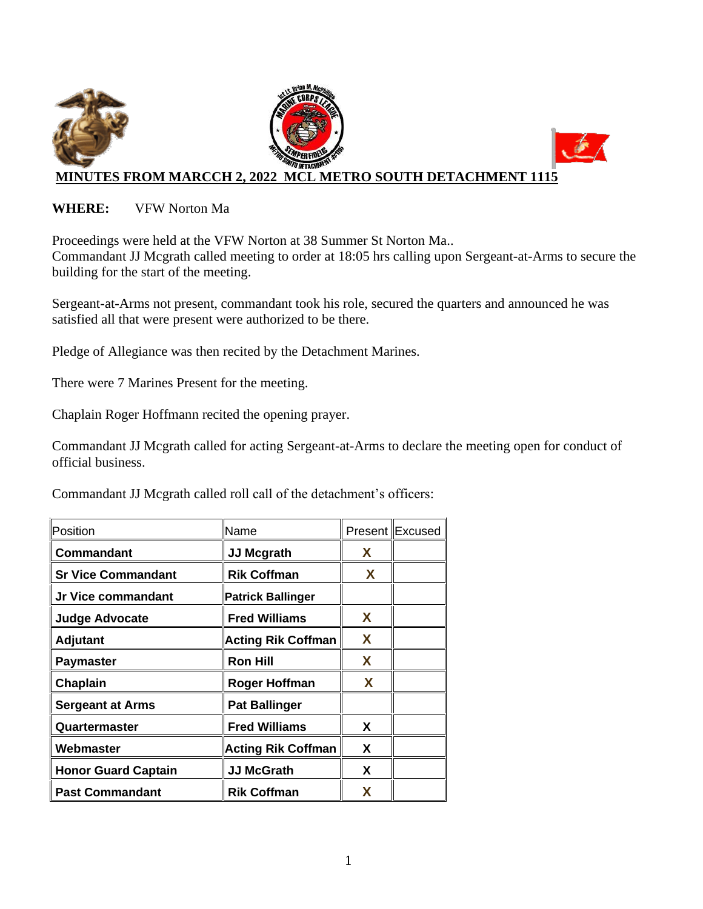

**WHERE:** VFW Norton Ma

Proceedings were held at the VFW Norton at 38 Summer St Norton Ma.. Commandant JJ Mcgrath called meeting to order at 18:05 hrs calling upon Sergeant-at-Arms to secure the building for the start of the meeting.

Sergeant-at-Arms not present, commandant took his role, secured the quarters and announced he was satisfied all that were present were authorized to be there.

Pledge of Allegiance was then recited by the Detachment Marines.

There were 7 Marines Present for the meeting.

Chaplain Roger Hoffmann recited the opening prayer.

Commandant JJ Mcgrath called for acting Sergeant-at-Arms to declare the meeting open for conduct of official business.

Commandant JJ Mcgrath called roll call of the detachment's officers:

| Position                   | Name                      |   | <b>Present Excused</b> |
|----------------------------|---------------------------|---|------------------------|
| Commandant                 | <b>JJ Mcgrath</b>         | X |                        |
| <b>Sr Vice Commandant</b>  | <b>Rik Coffman</b>        | X |                        |
| Jr Vice commandant         | <b>Patrick Ballinger</b>  |   |                        |
| <b>Judge Advocate</b>      | <b>Fred Williams</b>      | X |                        |
| Adjutant                   | <b>Acting Rik Coffman</b> | X |                        |
| <b>Paymaster</b>           | <b>Ron Hill</b>           | X |                        |
| Chaplain                   | <b>Roger Hoffman</b>      | X |                        |
| <b>Sergeant at Arms</b>    | <b>Pat Ballinger</b>      |   |                        |
| Quartermaster              | <b>Fred Williams</b>      | X |                        |
| Webmaster                  | <b>Acting Rik Coffman</b> | X |                        |
| <b>Honor Guard Captain</b> | <b>JJ McGrath</b>         | X |                        |
| <b>Past Commandant</b>     | <b>Rik Coffman</b>        | X |                        |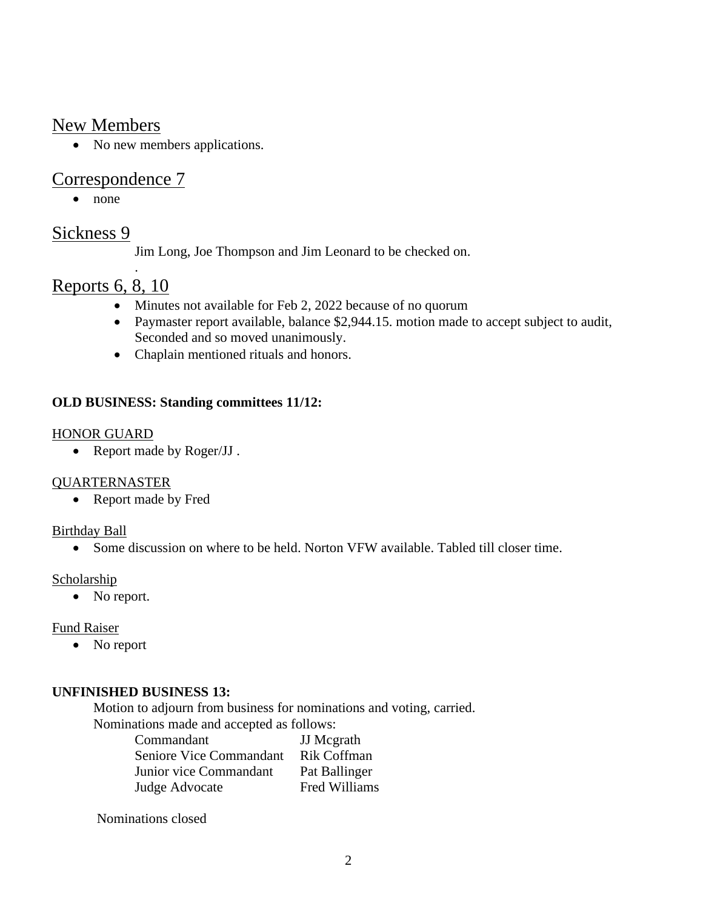# New Members

• No new members applications.

# Correspondence 7

• none

## Sickness 9

Jim Long, Joe Thompson and Jim Leonard to be checked on.

# Reports 6, 8, 10

.

- Minutes not available for Feb 2, 2022 because of no quorum
- Paymaster report available, balance \$2,944.15. motion made to accept subject to audit, Seconded and so moved unanimously.
- Chaplain mentioned rituals and honors.

## **OLD BUSINESS: Standing committees 11/12:**

#### HONOR GUARD

• Report made by Roger/JJ .

### QUARTERNASTER

• Report made by Fred

### Birthday Ball

• Some discussion on where to be held. Norton VFW available. Tabled till closer time.

### Scholarship

• No report.

### Fund Raiser

• No report

### **UNFINISHED BUSINESS 13:**

Motion to adjourn from business for nominations and voting, carried. Nominations made and accepted as follows:

| Commandant              | <b>JJ</b> Mcgrath    |
|-------------------------|----------------------|
| Seniore Vice Commandant | <b>Rik Coffman</b>   |
| Junior vice Commandant  | Pat Ballinger        |
| Judge Advocate          | <b>Fred Williams</b> |

Nominations closed